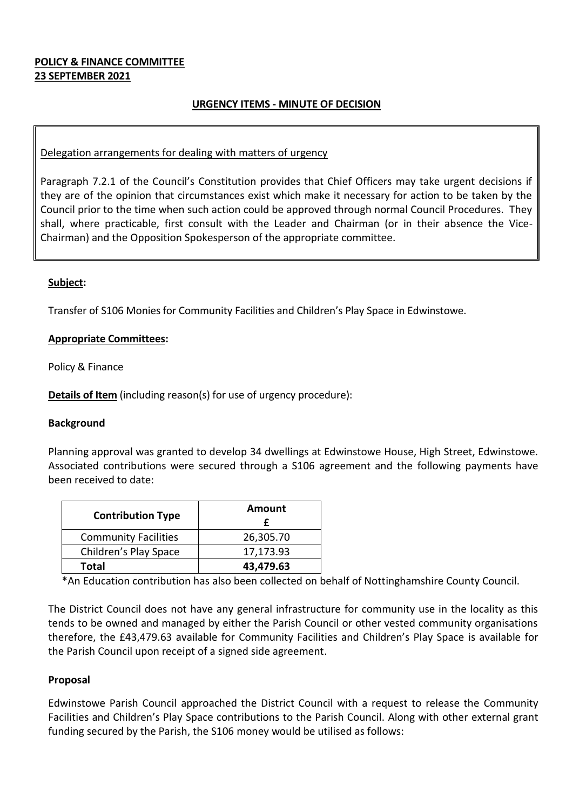## **POLICY & FINANCE COMMITTEE 23 SEPTEMBER 2021**

# **URGENCY ITEMS - MINUTE OF DECISION**

### Delegation arrangements for dealing with matters of urgency

Paragraph 7.2.1 of the Council's Constitution provides that Chief Officers may take urgent decisions if they are of the opinion that circumstances exist which make it necessary for action to be taken by the Council prior to the time when such action could be approved through normal Council Procedures. They shall, where practicable, first consult with the Leader and Chairman (or in their absence the Vice-Chairman) and the Opposition Spokesperson of the appropriate committee.

#### **Subject:**

Transfer of S106 Monies for Community Facilities and Children's Play Space in Edwinstowe.

#### **Appropriate Committees:**

Policy & Finance

**Details of Item** (including reason(s) for use of urgency procedure):

#### **Background**

Planning approval was granted to develop 34 dwellings at Edwinstowe House, High Street, Edwinstowe. Associated contributions were secured through a S106 agreement and the following payments have been received to date:

| <b>Contribution Type</b>    | Amount    |
|-----------------------------|-----------|
| <b>Community Facilities</b> | 26,305.70 |
| Children's Play Space       | 17,173.93 |
| Total                       | 43,479.63 |

\*An Education contribution has also been collected on behalf of Nottinghamshire County Council.

The District Council does not have any general infrastructure for community use in the locality as this tends to be owned and managed by either the Parish Council or other vested community organisations therefore, the £43,479.63 available for Community Facilities and Children's Play Space is available for the Parish Council upon receipt of a signed side agreement.

#### **Proposal**

Edwinstowe Parish Council approached the District Council with a request to release the Community Facilities and Children's Play Space contributions to the Parish Council. Along with other external grant funding secured by the Parish, the S106 money would be utilised as follows: